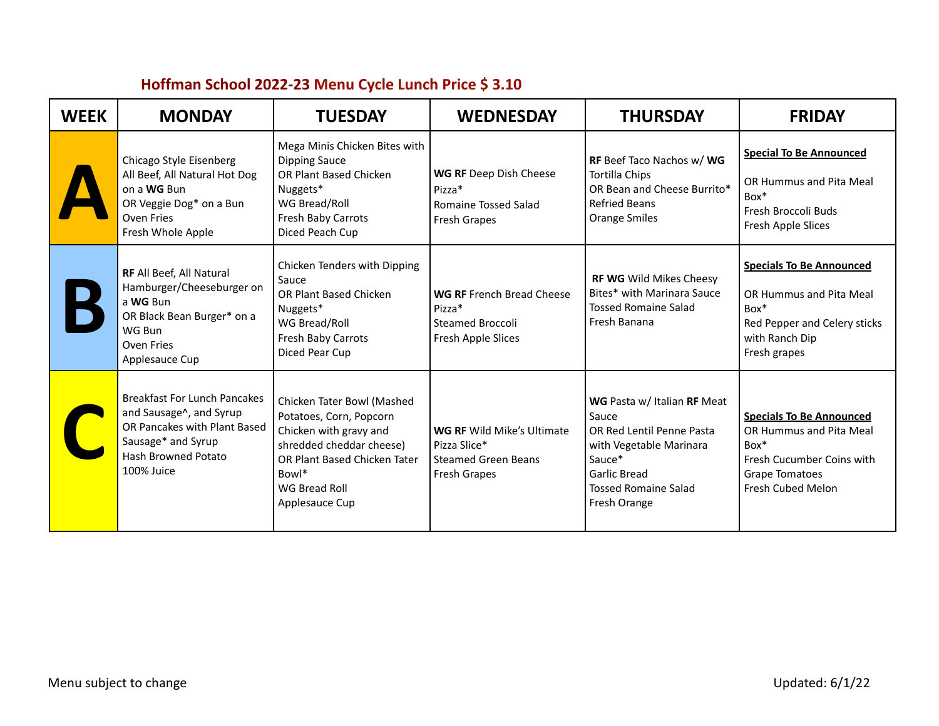| <b>WEEK</b> | <b>MONDAY</b>                                                                                                                                             | <b>TUESDAY</b>                                                                                                                                                                                 | <b>WEDNESDAY</b>                                                                                | <b>THURSDAY</b>                                                                                                                                                       | <b>FRIDAY</b>                                                                                                                            |
|-------------|-----------------------------------------------------------------------------------------------------------------------------------------------------------|------------------------------------------------------------------------------------------------------------------------------------------------------------------------------------------------|-------------------------------------------------------------------------------------------------|-----------------------------------------------------------------------------------------------------------------------------------------------------------------------|------------------------------------------------------------------------------------------------------------------------------------------|
|             | Chicago Style Eisenberg<br>All Beef, All Natural Hot Dog<br>on a WG Bun<br>OR Veggie Dog* on a Bun<br>Oven Fries<br>Fresh Whole Apple                     | Mega Minis Chicken Bites with<br><b>Dipping Sauce</b><br>OR Plant Based Chicken<br>Nuggets*<br>WG Bread/Roll<br>Fresh Baby Carrots<br>Diced Peach Cup                                          | WG RF Deep Dish Cheese<br>Pizza*<br>Romaine Tossed Salad<br>Fresh Grapes                        | RF Beef Taco Nachos w/ WG<br><b>Tortilla Chips</b><br>OR Bean and Cheese Burrito*<br><b>Refried Beans</b><br><b>Orange Smiles</b>                                     | <b>Special To Be Announced</b><br>OR Hummus and Pita Meal<br>$Box*$<br>Fresh Broccoli Buds<br>Fresh Apple Slices                         |
|             | RF All Beef, All Natural<br>Hamburger/Cheeseburger on<br>a WG Bun<br>OR Black Bean Burger* on a<br>WG Bun<br>Oven Fries<br>Applesauce Cup                 | Chicken Tenders with Dipping<br>Sauce<br><b>OR Plant Based Chicken</b><br>Nuggets*<br>WG Bread/Roll<br>Fresh Baby Carrots<br>Diced Pear Cup                                                    | <b>WG RF</b> French Bread Cheese<br>Pizza*<br><b>Steamed Broccoli</b><br>Fresh Apple Slices     | RF WG Wild Mikes Cheesy<br>Bites* with Marinara Sauce<br><b>Tossed Romaine Salad</b><br>Fresh Banana                                                                  | <b>Specials To Be Announced</b><br>OR Hummus and Pita Meal<br>$Box*$<br>Red Pepper and Celery sticks<br>with Ranch Dip<br>Fresh grapes   |
|             | <b>Breakfast For Lunch Pancakes</b><br>and Sausage^, and Syrup<br>OR Pancakes with Plant Based<br>Sausage* and Syrup<br>Hash Browned Potato<br>100% Juice | Chicken Tater Bowl (Mashed<br>Potatoes, Corn, Popcorn<br>Chicken with gravy and<br>shredded cheddar cheese)<br>OR Plant Based Chicken Tater<br>Bowl*<br><b>WG Bread Roll</b><br>Applesauce Cup | <b>WG RF Wild Mike's Ultimate</b><br>Pizza Slice*<br><b>Steamed Green Beans</b><br>Fresh Grapes | WG Pasta w/ Italian RF Meat<br>Sauce<br>OR Red Lentil Penne Pasta<br>with Vegetable Marinara<br>Sauce*<br>Garlic Bread<br><b>Tossed Romaine Salad</b><br>Fresh Orange | <b>Specials To Be Announced</b><br>OR Hummus and Pita Meal<br>$Box*$<br>Fresh Cucumber Coins with<br>Grape Tomatoes<br>Fresh Cubed Melon |

## **Hoffman School 2022-23 Menu Cycle Lunch Price \$ 3.10**